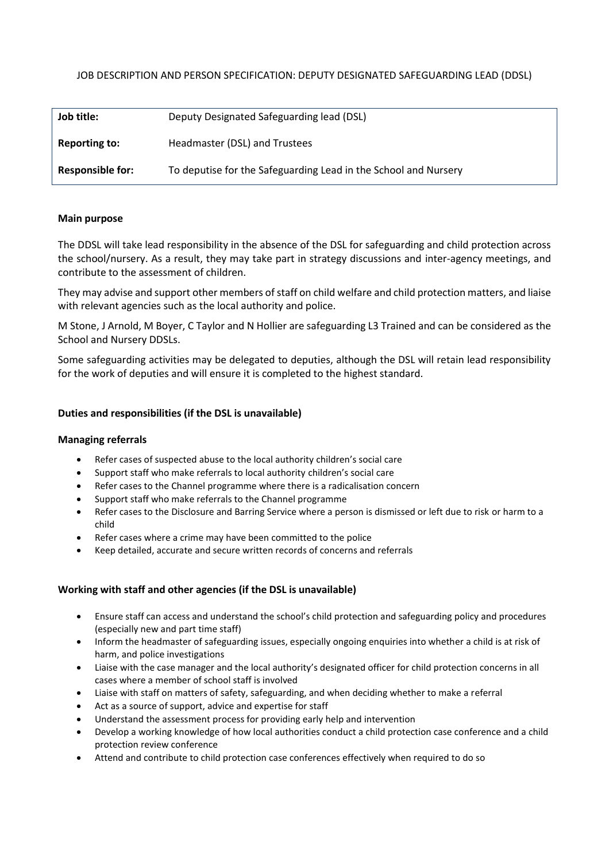# JOB DESCRIPTION AND PERSON SPECIFICATION: DEPUTY DESIGNATED SAFEGUARDING LEAD (DDSL)

| Job title:              | Deputy Designated Safeguarding lead (DSL)                       |
|-------------------------|-----------------------------------------------------------------|
| <b>Reporting to:</b>    | Headmaster (DSL) and Trustees                                   |
| <b>Responsible for:</b> | To deputise for the Safeguarding Lead in the School and Nursery |

## **Main purpose**

The DDSL will take lead responsibility in the absence of the DSL for safeguarding and child protection across the school/nursery. As a result, they may take part in strategy discussions and inter-agency meetings, and contribute to the assessment of children.

They may advise and support other members of staff on child welfare and child protection matters, and liaise with relevant agencies such as the local authority and police.

M Stone, J Arnold, M Boyer, C Taylor and N Hollier are safeguarding L3 Trained and can be considered as the School and Nursery DDSLs.

Some safeguarding activities may be delegated to deputies, although the DSL will retain lead responsibility for the work of deputies and will ensure it is completed to the highest standard.

## **Duties and responsibilities (if the DSL is unavailable)**

#### **Managing referrals**

- Refer cases of suspected abuse to the local authority children's social care
- Support staff who make referrals to local authority children's social care
- Refer cases to the Channel programme where there is a radicalisation concern
- Support staff who make referrals to the Channel programme
- Refer cases to the Disclosure and Barring Service where a person is dismissed or left due to risk or harm to a child
- Refer cases where a crime may have been committed to the police
- Keep detailed, accurate and secure written records of concerns and referrals

## **Working with staff and other agencies (if the DSL is unavailable)**

- Ensure staff can access and understand the school's child protection and safeguarding policy and procedures (especially new and part time staff)
- Inform the headmaster of safeguarding issues, especially ongoing enquiries into whether a child is at risk of harm, and police investigations
- Liaise with the case manager and the local authority's designated officer for child protection concerns in all cases where a member of school staff is involved
- Liaise with staff on matters of safety, safeguarding, and when deciding whether to make a referral
- Act as a source of support, advice and expertise for staff
- Understand the assessment process for providing early help and intervention
- Develop a working knowledge of how local authorities conduct a child protection case conference and a child protection review conference
- Attend and contribute to child protection case conferences effectively when required to do so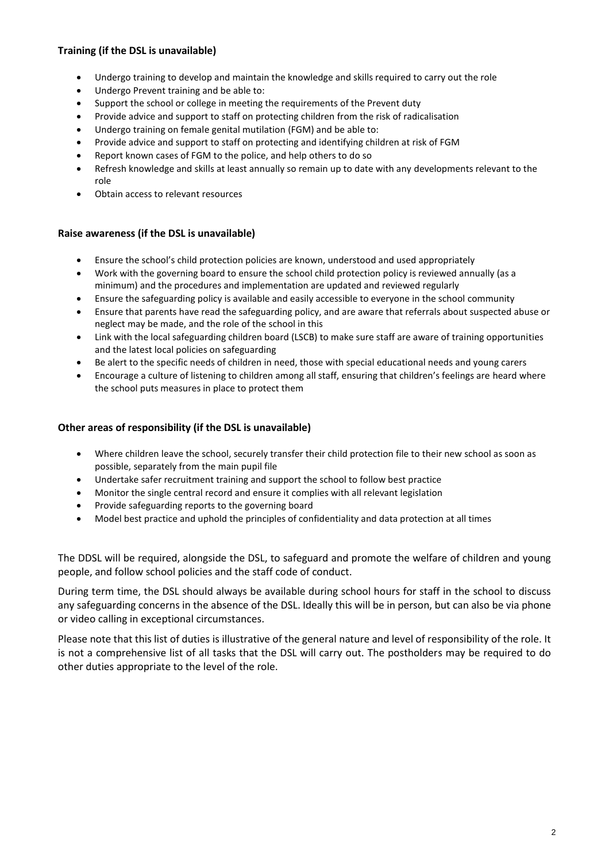# **Training (if the DSL is unavailable)**

- Undergo training to develop and maintain the knowledge and skills required to carry out the role
- Undergo Prevent training and be able to:
- Support the school or college in meeting the requirements of the Prevent duty
- Provide advice and support to staff on protecting children from the risk of radicalisation
- Undergo training on female genital mutilation (FGM) and be able to:
- Provide advice and support to staff on protecting and identifying children at risk of FGM
- Report known cases of FGM to the police, and help others to do so
- Refresh knowledge and skills at least annually so remain up to date with any developments relevant to the role
- Obtain access to relevant resources

#### **Raise awareness (if the DSL is unavailable)**

- Ensure the school's child protection policies are known, understood and used appropriately
- Work with the governing board to ensure the school child protection policy is reviewed annually (as a minimum) and the procedures and implementation are updated and reviewed regularly
- Ensure the safeguarding policy is available and easily accessible to everyone in the school community
- Ensure that parents have read the safeguarding policy, and are aware that referrals about suspected abuse or neglect may be made, and the role of the school in this
- Link with the local safeguarding children board (LSCB) to make sure staff are aware of training opportunities and the latest local policies on safeguarding
- Be alert to the specific needs of children in need, those with special educational needs and young carers
- Encourage a culture of listening to children among all staff, ensuring that children's feelings are heard where the school puts measures in place to protect them

#### **Other areas of responsibility (if the DSL is unavailable)**

- Where children leave the school, securely transfer their child protection file to their new school as soon as possible, separately from the main pupil file
- Undertake safer recruitment training and support the school to follow best practice
- Monitor the single central record and ensure it complies with all relevant legislation
- Provide safeguarding reports to the governing board
- Model best practice and uphold the principles of confidentiality and data protection at all times

The DDSL will be required, alongside the DSL, to safeguard and promote the welfare of children and young people, and follow school policies and the staff code of conduct.

During term time, the DSL should always be available during school hours for staff in the school to discuss any safeguarding concerns in the absence of the DSL. Ideally this will be in person, but can also be via phone or video calling in exceptional circumstances.

Please note that this list of duties is illustrative of the general nature and level of responsibility of the role. It is not a comprehensive list of all tasks that the DSL will carry out. The postholders may be required to do other duties appropriate to the level of the role.